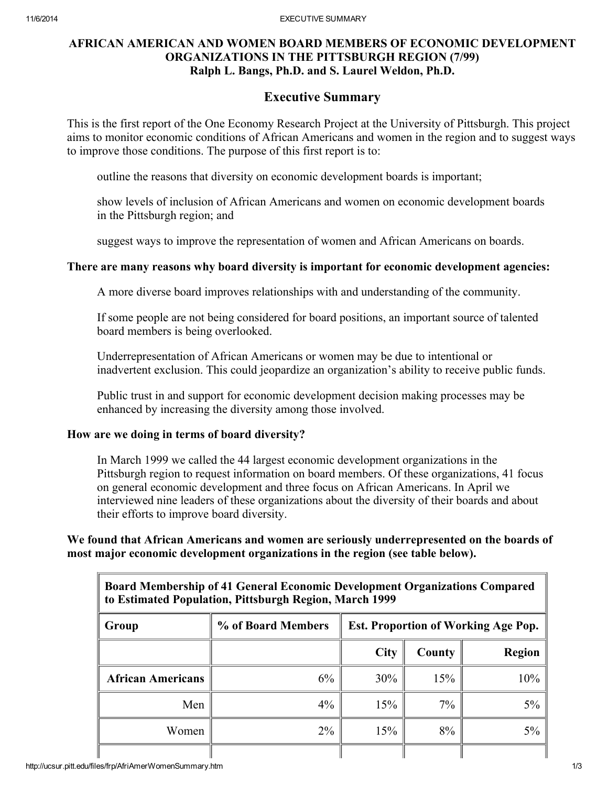## AFRICAN AMERICAN AND WOMEN BOARD MEMBERS OF ECONOMIC DEVELOPMENT ORGANIZATIONS IN THE PITTSBURGH REGION (7/99) Ralph L. Bangs, Ph.D. and S. Laurel Weldon, Ph.D.

# Executive Summary

This is the first report of the One Economy Research Project at the University of Pittsburgh. This project aims to monitor economic conditions of African Americans and women in the region and to suggest ways to improve those conditions. The purpose of this first report is to:

outline the reasons that diversity on economic development boards is important;

show levels of inclusion of African Americans and women on economic development boards in the Pittsburgh region; and

suggest ways to improve the representation of women and African Americans on boards.

### There are many reasons why board diversity is important for economic development agencies:

A more diverse board improves relationships with and understanding of the community.

If some people are not being considered for board positions, an important source of talented board members is being overlooked.

Underrepresentation of African Americans or women may be due to intentional or inadvertent exclusion. This could jeopardize an organization's ability to receive public funds.

Public trust in and support for economic development decision making processes may be enhanced by increasing the diversity among those involved.

### How are we doing in terms of board diversity?

In March 1999 we called the 44 largest economic development organizations in the Pittsburgh region to request information on board members. Of these organizations, 41 focus on general economic development and three focus on African Americans. In April we interviewed nine leaders of these organizations about the diversity of their boards and about their efforts to improve board diversity.

We found that African Americans and women are seriously underrepresented on the boards of most major economic development organizations in the region (see table below).

| Board Membership of 41 General Economic Development Organizations Compared<br>to Estimated Population, Pittsburgh Region, March 1999 |                    |                                            |        |               |  |  |
|--------------------------------------------------------------------------------------------------------------------------------------|--------------------|--------------------------------------------|--------|---------------|--|--|
| Group                                                                                                                                | % of Board Members | <b>Est. Proportion of Working Age Pop.</b> |        |               |  |  |
|                                                                                                                                      |                    | <b>City</b>                                | County | <b>Region</b> |  |  |
| <b>African Americans</b>                                                                                                             | 6%                 | 30%                                        | 15%    | 10%           |  |  |
| Men                                                                                                                                  | $4\%$              | 15%                                        | 7%     | 5%            |  |  |
| Women                                                                                                                                | $2\%$              | 15%                                        | 8%     | 5%            |  |  |
|                                                                                                                                      |                    |                                            |        |               |  |  |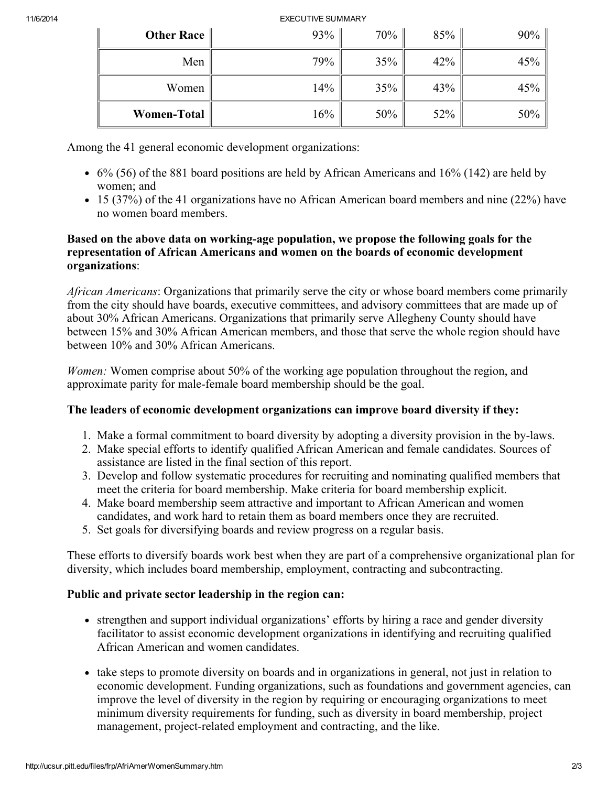#### 11/6/2014 EXECUTIVE SUMMARY

| Other Race         | 93% | 70% | 85% | 90%    |
|--------------------|-----|-----|-----|--------|
| Men                | 79% | 35% | 42% | 45%    |
| Women              | 14% | 35% | 43% | 45%    |
| <b>Women-Total</b> | 16% | 50% | 52% | $50\%$ |

Among the 41 general economic development organizations:

- $\bullet$  6% (56) of the 881 board positions are held by African Americans and 16% (142) are held by women; and
- 15 (37%) of the 41 organizations have no African American board members and nine (22%) have no women board members.

## Based on the above data on working-age population, we propose the following goals for the representation of African Americans and women on the boards of economic development organizations:

African Americans: Organizations that primarily serve the city or whose board members come primarily from the city should have boards, executive committees, and advisory committees that are made up of about 30% African Americans. Organizations that primarily serve Allegheny County should have between 15% and 30% African American members, and those that serve the whole region should have between 10% and 30% African Americans.

Women: Women comprise about 50% of the working age population throughout the region, and approximate parity for male-female board membership should be the goal.

# The leaders of economic development organizations can improve board diversity if they:

- 1. Make a formal commitment to board diversity by adopting a diversity provision in the by-laws.
- 2. Make special efforts to identify qualified African American and female candidates. Sources of assistance are listed in the final section of this report.
- 3. Develop and follow systematic procedures for recruiting and nominating qualified members that meet the criteria for board membership. Make criteria for board membership explicit.
- 4. Make board membership seem attractive and important to African American and women candidates, and work hard to retain them as board members once they are recruited.
- 5. Set goals for diversifying boards and review progress on a regular basis.

These efforts to diversify boards work best when they are part of a comprehensive organizational plan for diversity, which includes board membership, employment, contracting and subcontracting.

# Public and private sector leadership in the region can:

- strengthen and support individual organizations' efforts by hiring a race and gender diversity facilitator to assist economic development organizations in identifying and recruiting qualified African American and women candidates.
- take steps to promote diversity on boards and in organizations in general, not just in relation to economic development. Funding organizations, such as foundations and government agencies, can improve the level of diversity in the region by requiring or encouraging organizations to meet minimum diversity requirements for funding, such as diversity in board membership, project management, project-related employment and contracting, and the like.